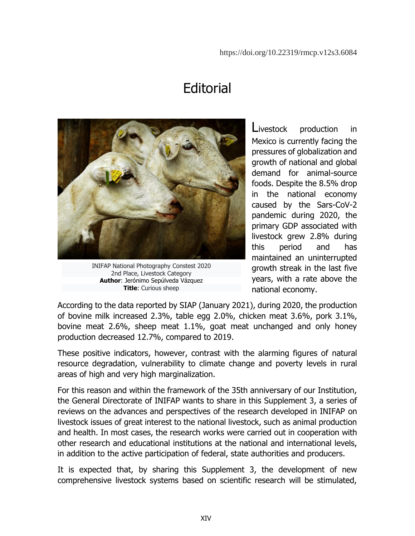## **Editorial**



INIFAP National Photography Constest 2020 2nd Place, Livestock Category **Author**: Jerónimo Sepúlveda Vázquez **Title**: Curious sheep

Livestock production in Mexico is currently facing the pressures of globalization and growth of national and global demand for animal-source foods. Despite the 8.5% drop in the national economy caused by the Sars-CoV-2 pandemic during 2020, the primary GDP associated with livestock grew 2.8% during this period and has maintained an uninterrupted growth streak in the last five years, with a rate above the national economy.

According to the data reported by SIAP (January 2021), during 2020, the production of bovine milk increased 2.3%, table egg 2.0%, chicken meat 3.6%, pork 3.1%, bovine meat 2.6%, sheep meat 1.1%, goat meat unchanged and only honey production decreased 12.7%, compared to 2019.

These positive indicators, however, contrast with the alarming figures of natural resource degradation, vulnerability to climate change and poverty levels in rural areas of high and very high marginalization.

For this reason and within the framework of the 35th anniversary of our Institution, the General Directorate of INIFAP wants to share in this Supplement 3, a series of reviews on the advances and perspectives of the research developed in INIFAP on livestock issues of great interest to the national livestock, such as animal production and health. In most cases, the research works were carried out in cooperation with other research and educational institutions at the national and international levels, in addition to the active participation of federal, state authorities and producers.

It is expected that, by sharing this Supplement 3, the development of new comprehensive livestock systems based on scientific research will be stimulated,